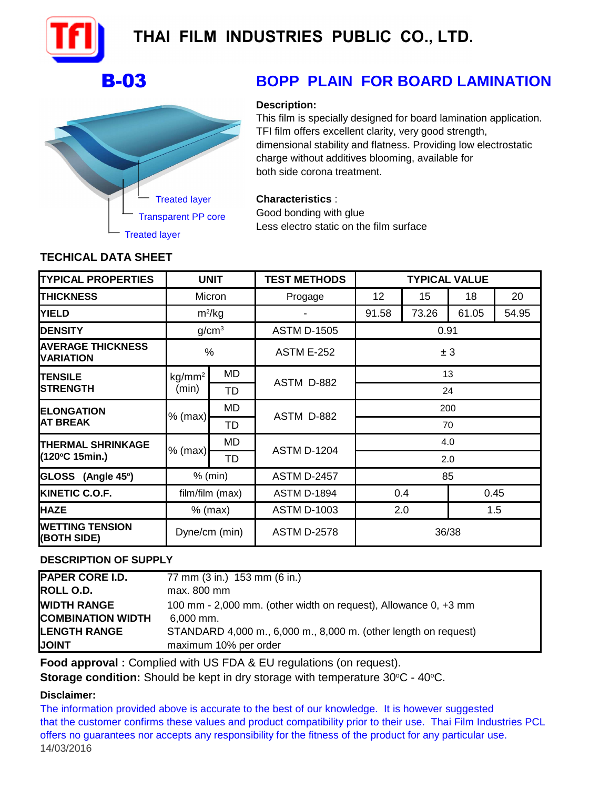

# THAI FILM INDUSTRIES PUBLIC CO., LTD.



## B-03 **BOPP PLAIN FOR BOARD LAMINATION**

## **Description:**

This film is specially designed for board lamination application. TFI film offers excellent clarity, very good strength, dimensional stability and flatness. Providing low electrostatic charge without additives blooming, available for both side corona treatment.

## **Characteristics** :

Good bonding with glue Less electro static on the film surface

## **TECHICAL DATA SHEET**

| <b>TYPICAL PROPERTIES</b>                    | <b>UNIT</b>       |    | <b>TEST METHODS</b> | <b>TYPICAL VALUE</b> |       |       |       |
|----------------------------------------------|-------------------|----|---------------------|----------------------|-------|-------|-------|
| <b>THICKNESS</b>                             | Micron            |    | Progage             | 12                   | 15    | 18    | 20    |
| <b>YIELD</b>                                 | $m^2/kg$          |    |                     | 91.58                | 73.26 | 61.05 | 54.95 |
| <b>DENSITY</b>                               | g/cm <sup>3</sup> |    | <b>ASTM D-1505</b>  | 0.91                 |       |       |       |
| <b>AVERAGE THICKNESS</b><br><b>VARIATION</b> | %                 |    | <b>ASTM E-252</b>   | ± 3                  |       |       |       |
| <b>ITENSILE</b><br><b>STRENGTH</b>           | $kg/mm^2$         | MD | ASTM D-882          | 13                   |       |       |       |
|                                              | (min)             | TD |                     | 24                   |       |       |       |
| <b>ELONGATION</b><br><b>AT BREAK</b>         | $%$ (max)         | MD | ASTM D-882          | 200                  |       |       |       |
|                                              |                   | TD |                     | 70                   |       |       |       |
| <b>THERMAL SHRINKAGE</b><br>(120°C 15min.)   | % (max)           | MD | <b>ASTM D-1204</b>  | 4.0                  |       |       |       |
|                                              |                   | TD |                     | 2.0                  |       |       |       |
| GLOSS (Angle 45°)                            | $%$ (min)         |    | <b>ASTM D-2457</b>  | 85                   |       |       |       |
| <b>KINETIC C.O.F.</b>                        | film/film (max)   |    | <b>ASTM D-1894</b>  | 0.45<br>0.4          |       |       |       |
| <b>HAZE</b>                                  | $%$ (max)         |    | <b>ASTM D-1003</b>  | 2.0<br>1.5           |       |       |       |
| <b>IWETTING TENSION</b><br>(BOTH SIDE)       | Dyne/cm (min)     |    | <b>ASTM D-2578</b>  | 36/38                |       |       |       |

## **DESCRIPTION OF SUPPLY**

| <b>PAPER CORE I.D.</b>   | 77 mm (3 in.) 153 mm (6 in.)                                    |
|--------------------------|-----------------------------------------------------------------|
| <b>ROLL O.D.</b>         | max. 800 mm                                                     |
| <b>WIDTH RANGE</b>       | 100 mm - 2,000 mm. (other width on request), Allowance 0, +3 mm |
| <b>COMBINATION WIDTH</b> | 6.000 mm.                                                       |
| <b>LENGTH RANGE</b>      | STANDARD 4,000 m., 6,000 m., 8,000 m. (other length on request) |
| <b>JOINT</b>             | maximum 10% per order                                           |

**Food approval :** Complied with US FDA & EU regulations (on request).

**Storage condition:** Should be kept in dry storage with temperature 30°C - 40°C.

## **Disclaimer:**

offers no guarantees nor accepts any responsibility for the fitness of the product for any particular use. 14/03/2016 The information provided above is accurate to the best of our knowledge. It is however suggested that the customer confirms these values and product compatibility prior to their use. Thai Film Industries PCL